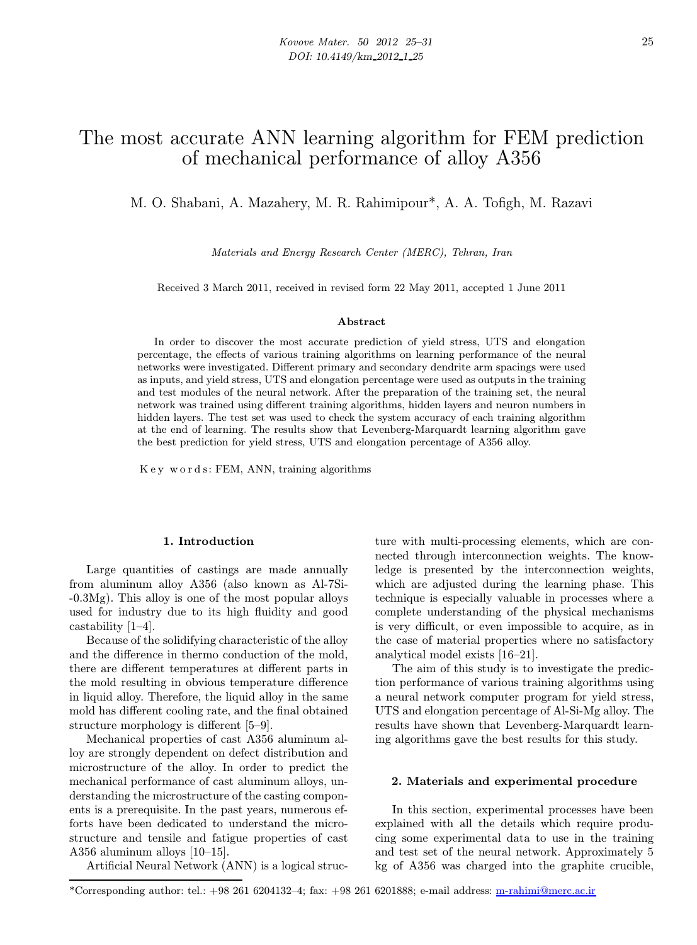# The most accurate ANN learning algorithm for FEM prediction of mechanical performance of alloy A356

M. O. Shabani, A. Mazahery, M. R. Rahimipour\*, A. A. Tofigh, M. Razavi

Materials and Energy Research Center (MERC), Tehran, Iran

Received 3 March 2011, received in revised form 22 May 2011, accepted 1 June 2011

## Abstract

In order to discover the most accurate prediction of yield stress, UTS and elongation percentage, the effects of various training algorithms on learning performance of the neural networks were investigated. Different primary and secondary dendrite arm spacings were used as inputs, and yield stress, UTS and elongation percentage were used as outputs in the training and test modules of the neural network. After the preparation of the training set, the neural network was trained using different training algorithms, hidden layers and neuron numbers in hidden layers. The test set was used to check the system accuracy of each training algorithm at the end of learning. The results show that Levenberg-Marquardt learning algorithm gave the best prediction for yield stress, UTS and elongation percentage of A356 alloy.

K e y w o r d s: FEM, ANN, training algorithms

## 1. Introduction

Large quantities of castings are made annually from aluminum alloy A356 (also known as Al-7Si- -0.3Mg). This alloy is one of the most popular alloys used for industry due to its high fluidity and good castability [1–4].

Because of the solidifying characteristic of the alloy and the difference in thermo conduction of the mold, there are different temperatures at different parts in the mold resulting in obvious temperature difference in liquid alloy. Therefore, the liquid alloy in the same mold has different cooling rate, and the final obtained structure morphology is different [5–9].

Mechanical properties of cast A356 aluminum alloy are strongly dependent on defect distribution and microstructure of the alloy. In order to predict the mechanical performance of cast aluminum alloys, understanding the microstructure of the casting components is a prerequisite. In the past years, numerous efforts have been dedicated to understand the microstructure and tensile and fatigue properties of cast A356 aluminum alloys [10–15].

Artificial Neural Network (ANN) is a logical struc-

ture with multi-processing elements, which are connected through interconnection weights. The knowledge is presented by the interconnection weights, which are adjusted during the learning phase. This technique is especially valuable in processes where a complete understanding of the physical mechanisms is very difficult, or even impossible to acquire, as in the case of material properties where no satisfactory analytical model exists [16–21].

The aim of this study is to investigate the prediction performance of various training algorithms using a neural network computer program for yield stress, UTS and elongation percentage of Al-Si-Mg alloy. The results have shown that Levenberg-Marquardt learning algorithms gave the best results for this study.

## 2. Materials and experimental procedure

In this section, experimental processes have been explained with all the details which require producing some experimental data to use in the training and test set of the neural network. Approximately 5 kg of A356 was charged into the graphite crucible,

<sup>\*</sup>Corresponding author: tel.: +98 261 6204132–4; fax: +98 261 6201888; e-mail address: [m-rahimi@merc.ac.ir](mailto://m-rahimi@merc.ac.ir)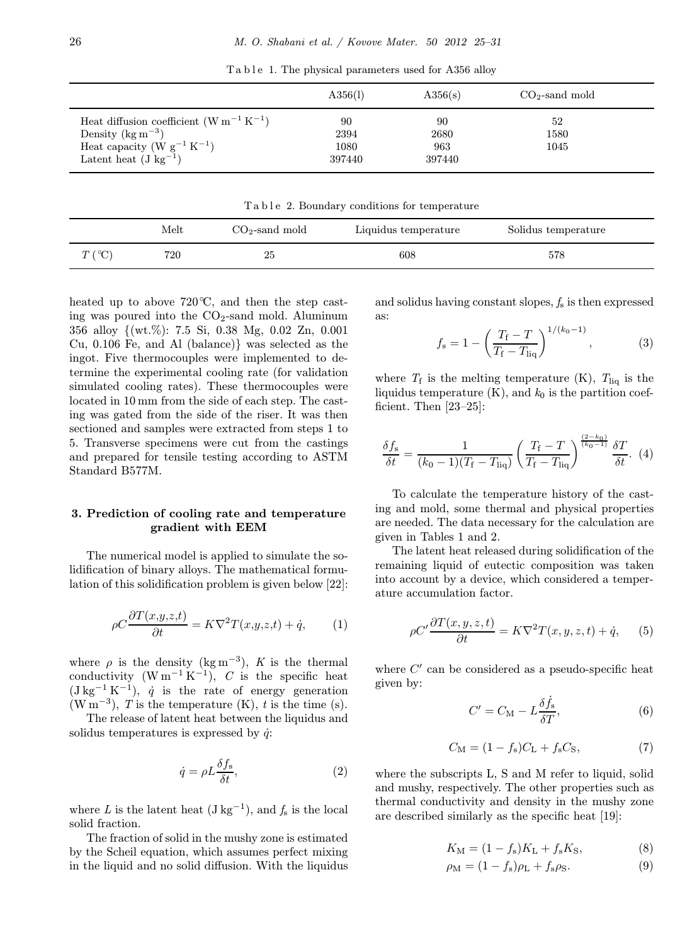|                                                                                                                                                  | A356(1)                      | A356(s)                     | $CO2$ -sand mold   |  |
|--------------------------------------------------------------------------------------------------------------------------------------------------|------------------------------|-----------------------------|--------------------|--|
| Heat diffusion coefficient $(W m^{-1} K^{-1})$<br>Density $(\text{kg m}^{-3})$<br>Heat capacity $(W g^{-1} K^{-1})$<br>Latent heat $(J kg^{-1})$ | 90<br>2394<br>1080<br>397440 | 90<br>2680<br>963<br>397440 | 52<br>1580<br>1045 |  |

Ta b l e 1. The physical parameters used for A356 alloy

Ta b l e 2. Boundary conditions for temperature

|                  | Melt | $CO2$ -sand mold | Liquidus temperature | Solidus temperature |  |
|------------------|------|------------------|----------------------|---------------------|--|
| $T({}^{\circ}C)$ | 720  | 25               | 608                  | 578                 |  |

heated up to above  $720^{\circ}\text{C}$ , and then the step casting was poured into the  $CO<sub>2</sub>$ -sand mold. Aluminum 356 alloy {(wt.%): 7.5 Si, 0.38 Mg, 0.02 Zn, 0.001 Cu, 0.106 Fe, and Al (balance)} was selected as the ingot. Five thermocouples were implemented to determine the experimental cooling rate (for validation simulated cooling rates). These thermocouples were located in 10 mm from the side of each step. The casting was gated from the side of the riser. It was then sectioned and samples were extracted from steps 1 to 5. Transverse specimens were cut from the castings and prepared for tensile testing according to ASTM Standard B577M.

## 3. Prediction of cooling rate and temperature gradient with EEM

The numerical model is applied to simulate the solidification of binary alloys. The mathematical formulation of this solidification problem is given below [22]:

$$
\rho C \frac{\partial T(x, y, z, t)}{\partial t} = K \nabla^2 T(x, y, z, t) + \dot{q}, \qquad (1)
$$

where  $\rho$  is the density (kg m<sup>-3</sup>), K is the thermal conductivity  $(W m^{-1} K^{-1})$ , C is the specific heat  $(J kg^{-1} K^{-1}), \dot{q}$  is the rate of energy generation (W m<sup>-3</sup>), T is the temperature (K), t is the time (s).

The release of latent heat between the liquidus and solidus temperatures is expressed by  $\dot{q}$ .

$$
\dot{q} = \rho L \frac{\delta f_{\rm s}}{\delta t},\tag{2}
$$

where L is the latent heat  $(\text{J kg}^{-1})$ , and  $f_s$  is the local solid fraction.

The fraction of solid in the mushy zone is estimated by the Scheil equation, which assumes perfect mixing in the liquid and no solid diffusion. With the liquidus and solidus having constant slopes,  $f_s$  is then expressed as:

$$
f_{\rm s} = 1 - \left(\frac{T_{\rm f} - T}{T_{\rm f} - T_{\rm liq}}\right)^{1/(k_0 - 1)},\tag{3}
$$

where  $T_f$  is the melting temperature (K),  $T_{liq}$  is the liquidus temperature  $(K)$ , and  $k_0$  is the partition coefficient. Then [23–25]:

$$
\frac{\delta f_{\rm s}}{\delta t} = \frac{1}{(k_0 - 1)(T_{\rm f} - T_{\rm liq})} \left(\frac{T_{\rm f} - T}{T_{\rm f} - T_{\rm liq}}\right)^{\frac{(2 - k_0)}{(k_0 - 1)}} \frac{\delta T}{\delta t}.
$$
 (4)

To calculate the temperature history of the casting and mold, some thermal and physical properties are needed. The data necessary for the calculation are given in Tables 1 and 2.

The latent heat released during solidification of the remaining liquid of eutectic composition was taken into account by a device, which considered a temperature accumulation factor.

$$
\rho C' \frac{\partial T(x, y, z, t)}{\partial t} = K \nabla^2 T(x, y, z, t) + \dot{q}, \qquad (5)
$$

where  $C'$  can be considered as a pseudo-specific heat given by:

$$
C' = C_{\rm M} - L \frac{\delta \dot{f}_s}{\delta T},\tag{6}
$$

$$
C_{\rm M} = (1 - f_{\rm s})C_{\rm L} + f_{\rm s}C_{\rm S},\tag{7}
$$

where the subscripts L, S and M refer to liquid, solid and mushy, respectively. The other properties such as thermal conductivity and density in the mushy zone are described similarly as the specific heat [19]:

$$
K_{\rm M} = (1 - f_{\rm s})K_{\rm L} + f_{\rm s}K_{\rm S},\tag{8}
$$

$$
\rho_{\rm M} = (1 - f_{\rm s})\rho_{\rm L} + f_{\rm s}\rho_{\rm S}.
$$
\n(9)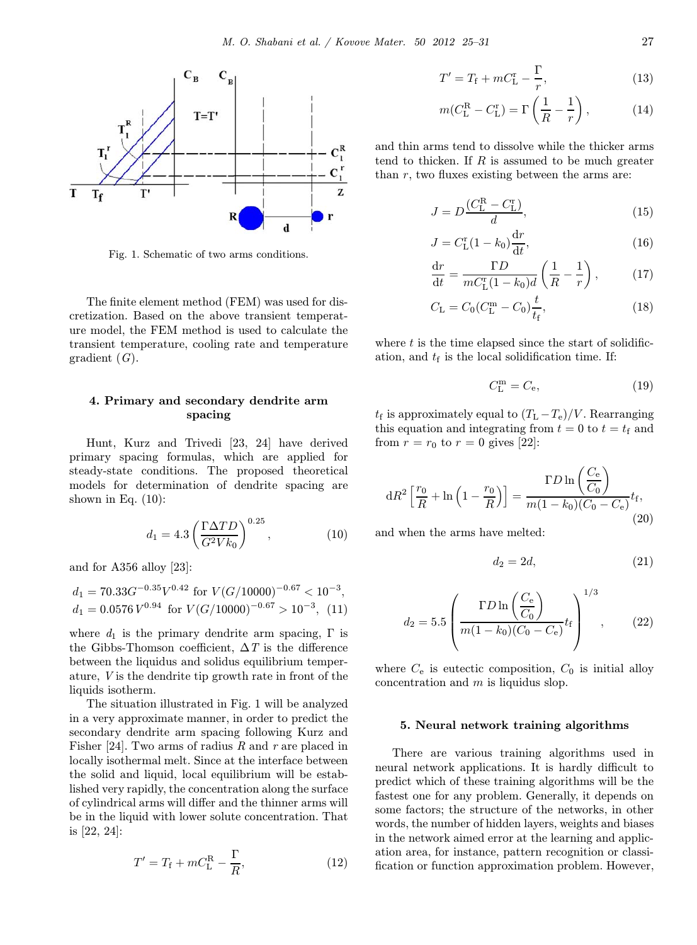

Fig. 1. Schematic of two arms conditions.

The finite element method (FEM) was used for discretization. Based on the above transient temperature model, the FEM method is used to calculate the transient temperature, cooling rate and temperature gradient  $(G)$ .

# 4. Primary and secondary dendrite arm spacing

Hunt, Kurz and Trivedi [23, 24] have derived primary spacing formulas, which are applied for steady-state conditions. The proposed theoretical models for determination of dendrite spacing are shown in Eq.  $(10)$ :

$$
d_1 = 4.3 \left(\frac{\Gamma \Delta TD}{G^2 V k_0}\right)^{0.25},\tag{10}
$$

and for A356 alloy [23]:

$$
d_1 = 70.33G^{-0.35}V^{0.42} \text{ for } V(G/10000)^{-0.67} < 10^{-3},
$$
\n
$$
d_1 = 0.0576 V^{0.94} \text{ for } V(G/10000)^{-0.67} > 10^{-3}, \quad (11)
$$

where  $d_1$  is the primary dendrite arm spacing,  $\Gamma$  is the Gibbs-Thomson coefficient,  $\Delta T$  is the difference between the liquidus and solidus equilibrium temperature, V is the dendrite tip growth rate in front of the liquids isotherm.

The situation illustrated in Fig. 1 will be analyzed in a very approximate manner, in order to predict the secondary dendrite arm spacing following Kurz and Fisher [24]. Two arms of radius R and r are placed in locally isothermal melt. Since at the interface between the solid and liquid, local equilibrium will be established very rapidly, the concentration along the surface of cylindrical arms will differ and the thinner arms will be in the liquid with lower solute concentration. That is [22, 24]:

$$
T' = T_{\rm f} + mC_{\rm L}^{\rm R} - \frac{\Gamma}{R},\tag{12}
$$

$$
T' = T_{\rm f} + mC_{\rm L}^{\rm r} - \frac{\Gamma}{r},\tag{13}
$$

$$
m(C_{\text{L}}^{\text{R}} - C_{\text{L}}^{\text{r}}) = \Gamma\left(\frac{1}{R} - \frac{1}{r}\right),\tag{14}
$$

and thin arms tend to dissolve while the thicker arms tend to thicken. If  $R$  is assumed to be much greater than  $r$ , two fluxes existing between the arms are:

$$
J = D \frac{(C_{\rm L}^{\rm R} - C_{\rm L}^{\rm r})}{d},\tag{15}
$$

$$
J = C_{\rm L}^{\rm r}(1 - k_0) \frac{\mathrm{d}r}{\mathrm{d}t},\tag{16}
$$

$$
\frac{\mathrm{d}r}{\mathrm{d}t} = \frac{\Gamma D}{mC_{\mathrm{L}}^{\mathrm{r}}(1-k_0)d} \left(\frac{1}{R} - \frac{1}{r}\right),\tag{17}
$$

$$
C_{\rm L} = C_0 (C_{\rm L}^{\rm m} - C_0) \frac{t}{t_{\rm f}},\tag{18}
$$

where  $t$  is the time elapsed since the start of solidification, and  $t_f$  is the local solidification time. If:

$$
C_{\mathcal{L}}^{\mathbf{m}} = C_{\mathbf{e}},\tag{19}
$$

 $t_f$  is approximately equal to  $(T_L-T_e)/V$ . Rearranging this equation and integrating from  $t = 0$  to  $t = t_f$  and from  $r = r_0$  to  $r = 0$  gives [22]:

$$
dR^{2}\left[\frac{r_{0}}{R} + \ln\left(1 - \frac{r_{0}}{R}\right)\right] = \frac{\Gamma D \ln\left(\frac{C_{e}}{C_{0}}\right)}{m(1 - k_{0})(C_{0} - C_{e})}t_{f},\tag{20}
$$

and when the arms have melted:

$$
d_2 = 2d,\t\t(21)
$$

$$
d_2 = 5.5 \left( \frac{\Gamma D \ln \left( \frac{C_e}{C_0} \right)}{m(1 - k_0)(C_0 - C_e)} t_f \right)^{1/3}, \quad (22)
$$

where  $C_e$  is eutectic composition,  $C_0$  is initial alloy concentration and  $m$  is liquidus slop.

## 5. Neural network training algorithms

There are various training algorithms used in neural network applications. It is hardly difficult to predict which of these training algorithms will be the fastest one for any problem. Generally, it depends on some factors; the structure of the networks, in other words, the number of hidden layers, weights and biases in the network aimed error at the learning and application area, for instance, pattern recognition or classification or function approximation problem. However,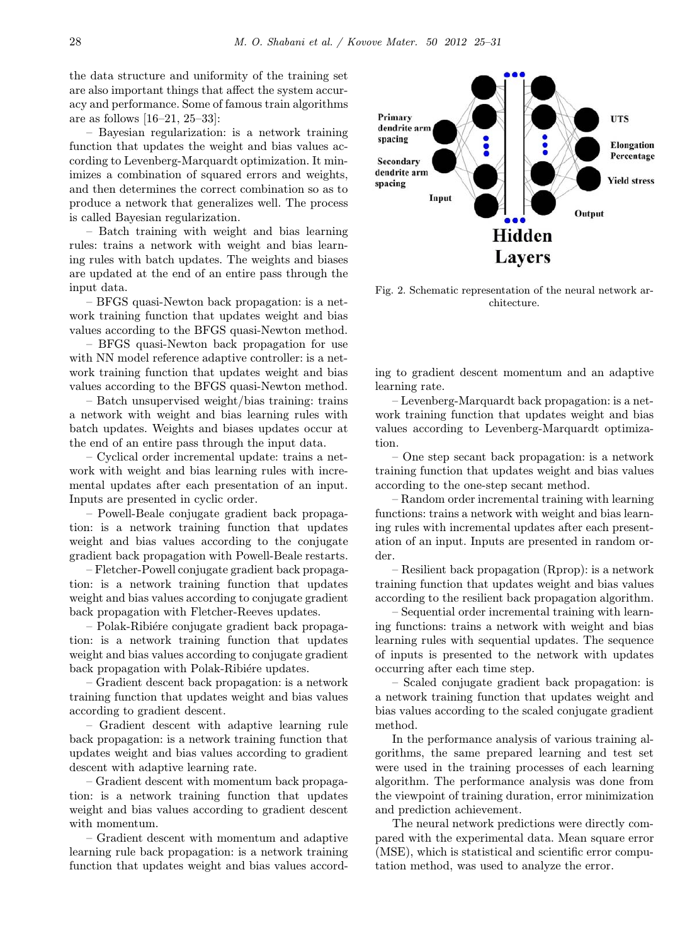the data structure and uniformity of the training set are also important things that affect the system accuracy and performance. Some of famous train algorithms are as follows [16–21, 25–33]:

– Bayesian regularization: is a network training function that updates the weight and bias values according to Levenberg-Marquardt optimization. It minimizes a combination of squared errors and weights, and then determines the correct combination so as to produce a network that generalizes well. The process is called Bayesian regularization.

– Batch training with weight and bias learning rules: trains a network with weight and bias learning rules with batch updates. The weights and biases are updated at the end of an entire pass through the input data.

– BFGS quasi-Newton back propagation: is a network training function that updates weight and bias values according to the BFGS quasi-Newton method.

– BFGS quasi-Newton back propagation for use with NN model reference adaptive controller: is a network training function that updates weight and bias values according to the BFGS quasi-Newton method.

– Batch unsupervised weight/bias training: trains a network with weight and bias learning rules with batch updates. Weights and biases updates occur at the end of an entire pass through the input data.

– Cyclical order incremental update: trains a network with weight and bias learning rules with incremental updates after each presentation of an input. Inputs are presented in cyclic order.

– Powell-Beale conjugate gradient back propagation: is a network training function that updates weight and bias values according to the conjugate gradient back propagation with Powell-Beale restarts.

– Fletcher-Powell conjugate gradient back propagation: is a network training function that updates weight and bias values according to conjugate gradient back propagation with Fletcher-Reeves updates.

– Polak-Ribiére conjugate gradient back propagation: is a network training function that updates weight and bias values according to conjugate gradient back propagation with Polak-Ribiére updates.

– Gradient descent back propagation: is a network training function that updates weight and bias values according to gradient descent.

– Gradient descent with adaptive learning rule back propagation: is a network training function that updates weight and bias values according to gradient descent with adaptive learning rate.

– Gradient descent with momentum back propagation: is a network training function that updates weight and bias values according to gradient descent with momentum.

– Gradient descent with momentum and adaptive learning rule back propagation: is a network training function that updates weight and bias values accord-



Fig. 2. Schematic representation of the neural network architecture.

ing to gradient descent momentum and an adaptive learning rate.

– Levenberg-Marquardt back propagation: is a network training function that updates weight and bias values according to Levenberg-Marquardt optimization.

– One step secant back propagation: is a network training function that updates weight and bias values according to the one-step secant method.

– Random order incremental training with learning functions: trains a network with weight and bias learning rules with incremental updates after each presentation of an input. Inputs are presented in random order.

– Resilient back propagation (Rprop): is a network training function that updates weight and bias values according to the resilient back propagation algorithm.

– Sequential order incremental training with learning functions: trains a network with weight and bias learning rules with sequential updates. The sequence of inputs is presented to the network with updates occurring after each time step.

– Scaled conjugate gradient back propagation: is a network training function that updates weight and bias values according to the scaled conjugate gradient method.

In the performance analysis of various training algorithms, the same prepared learning and test set were used in the training processes of each learning algorithm. The performance analysis was done from the viewpoint of training duration, error minimization and prediction achievement.

The neural network predictions were directly compared with the experimental data. Mean square error (MSE), which is statistical and scientific error computation method, was used to analyze the error.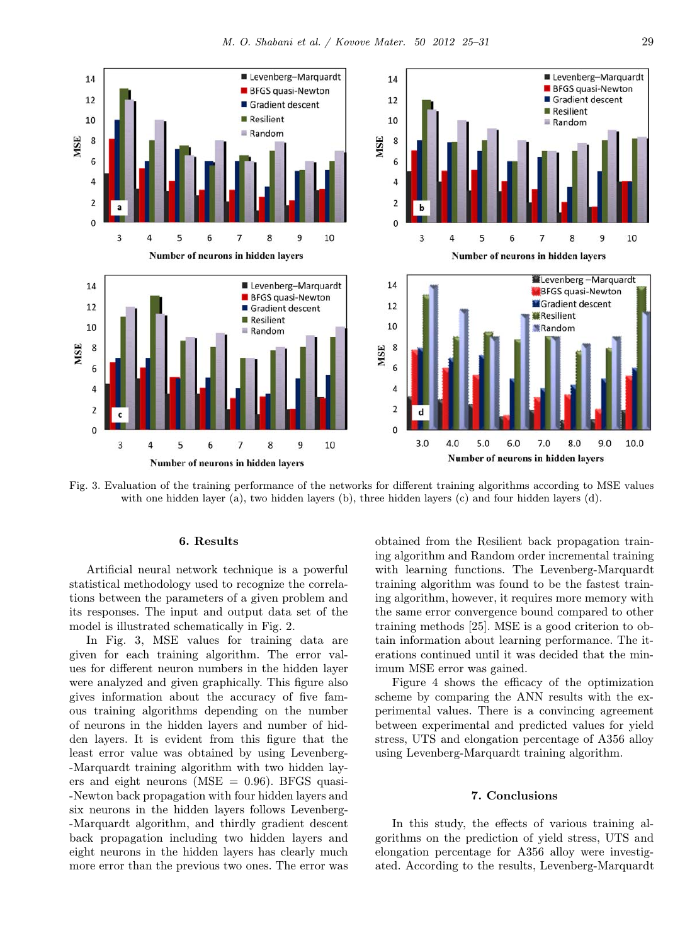

Fig. 3. Evaluation of the training performance of the networks for different training algorithms according to MSE values with one hidden layer (a), two hidden layers (b), three hidden layers (c) and four hidden layers (d).

### 6. Results

Artificial neural network technique is a powerful statistical methodology used to recognize the correlations between the parameters of a given problem and its responses. The input and output data set of the model is illustrated schematically in Fig. 2.

In Fig. 3, MSE values for training data are given for each training algorithm. The error values for different neuron numbers in the hidden layer were analyzed and given graphically. This figure also gives information about the accuracy of five famous training algorithms depending on the number of neurons in the hidden layers and number of hidden layers. It is evident from this figure that the least error value was obtained by using Levenberg- -Marquardt training algorithm with two hidden layers and eight neurons ( $MSE = 0.96$ ). BFGS quasi--Newton back propagation with four hidden layers and six neurons in the hidden layers follows Levenberg- -Marquardt algorithm, and thirdly gradient descent back propagation including two hidden layers and eight neurons in the hidden layers has clearly much more error than the previous two ones. The error was obtained from the Resilient back propagation training algorithm and Random order incremental training with learning functions. The Levenberg-Marquardt training algorithm was found to be the fastest training algorithm, however, it requires more memory with the same error convergence bound compared to other training methods [25]. MSE is a good criterion to obtain information about learning performance. The iterations continued until it was decided that the minimum MSE error was gained.

Figure 4 shows the efficacy of the optimization scheme by comparing the ANN results with the experimental values. There is a convincing agreement between experimental and predicted values for yield stress, UTS and elongation percentage of A356 alloy using Levenberg-Marquardt training algorithm.

## 7. Conclusions

In this study, the effects of various training algorithms on the prediction of yield stress, UTS and elongation percentage for A356 alloy were investigated. According to the results, Levenberg-Marquardt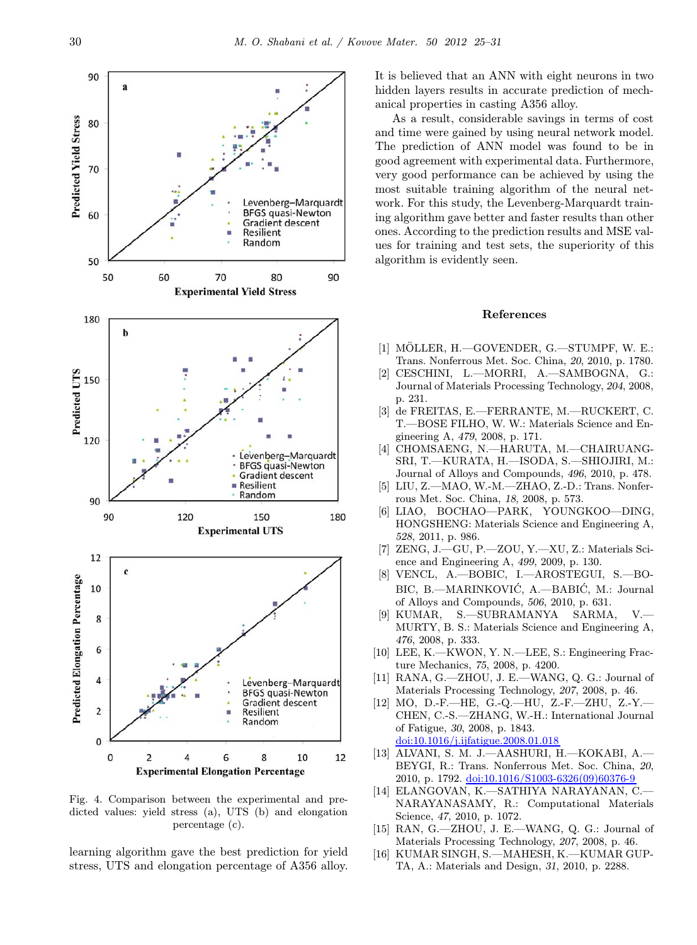

Fig. 4. Comparison between the experimental and predicted values: yield stress (a), UTS (b) and elongation percentage (c).

learning algorithm gave the best prediction for yield stress, UTS and elongation percentage of A356 alloy.

It is believed that an ANN with eight neurons in two hidden layers results in accurate prediction of mechanical properties in casting A356 alloy.

As a result, considerable savings in terms of cost and time were gained by using neural network model. The prediction of ANN model was found to be in good agreement with experimental data. Furthermore, very good performance can be achieved by using the most suitable training algorithm of the neural network. For this study, the Levenberg-Marquardt training algorithm gave better and faster results than other ones. According to the prediction results and MSE values for training and test sets, the superiority of this algorithm is evidently seen.

### References

- [1] MÖLLER, H.-GOVENDER, G.-STUMPF, W. E.: Trans. Nonferrous Met. Soc. China, 20, 2010, p. 1780.
- [2] CESCHINI, L.—MORRI, A.—SAMBOGNA, G.: Journal of Materials Processing Technology, 204, 2008, p. 231.
- [3] de FREITAS, E.—FERRANTE, M.—RUCKERT, C. T.—BOSE FILHO, W. W.: Materials Science and Engineering A, 479, 2008, p. 171.
- [4] CHOMSAENG, N.—HARUTA, M.—CHAIRUANG-SRI, T.—KURATA, H.—ISODA, S.—SHIOJIRI, M.: Journal of Alloys and Compounds, 496, 2010, p. 478.
- [5] LIU, Z.—MAO, W.-M.—ZHAO, Z.-D.: Trans. Nonferrous Met. Soc. China, 18, 2008, p. 573.
- [6] LIAO, BOCHAO—PARK, YOUNGKOO—DING, HONGSHENG: Materials Science and Engineering A, 528, 2011, p. 986.
- [7] ZENG, J.—GU, P.—ZOU, Y.—XU, Z.: Materials Science and Engineering A, 499, 2009, p. 130.
- [8] VENCL, A.—BOBIC, I.—AROSTEGUI, S.—BO-BIC, B.-MARINKOVIĆ, A.-BABIĆ, M.: Journal of Alloys and Compounds, 506, 2010, p. 631.
- [9] KUMAR, S.—SUBRAMANYA SARMA, V.— MURTY, B. S.: Materials Science and Engineering A, 476, 2008, p. 333.
- [10] LEE, K.—KWON, Y. N.—LEE, S.: Engineering Fracture Mechanics, 75, 2008, p. 4200.
- [11] RANA, G.—ZHOU, J. E.—WANG, Q. G.: Journal of Materials Processing Technology, 207, 2008, p. 46.
- [12] MO, D.-F.—HE, G.-Q.—HU, Z.-F.—ZHU, Z.-Y.— CHEN, C.-S.—ZHANG, W.-H.: International Journal of Fatigue, 30, 2008, p. 1843. [doi:10.1016/j.ijfatigue.2008.01.018](http://dx.doi.org/10.1016/j.ijfatigue.2008.01.018)
- [13] ALVANI, S. M. J.—AASHURI, H.—KOKABI, A.— BEYGI, R.: Trans. Nonferrous Met. Soc. China, 20, 2010, p. 1792. [doi:10.1016/S1003-6326\(09\)60376-9](http://dx.doi.org/10.1016/S1003-6326(09)60376-9)
- [14] ELANGOVAN, K.—SATHIYA NARAYANAN, C.— NARAYANASAMY, R.: Computational Materials Science, 47, 2010, p. 1072.
- [15] RAN, G.—ZHOU, J. E.—WANG, Q. G.: Journal of Materials Processing Technology, 207, 2008, p. 46.
- [16] KUMAR SINGH, S.—MAHESH, K.—KUMAR GUP-TA, A.: Materials and Design, 31, 2010, p. 2288.